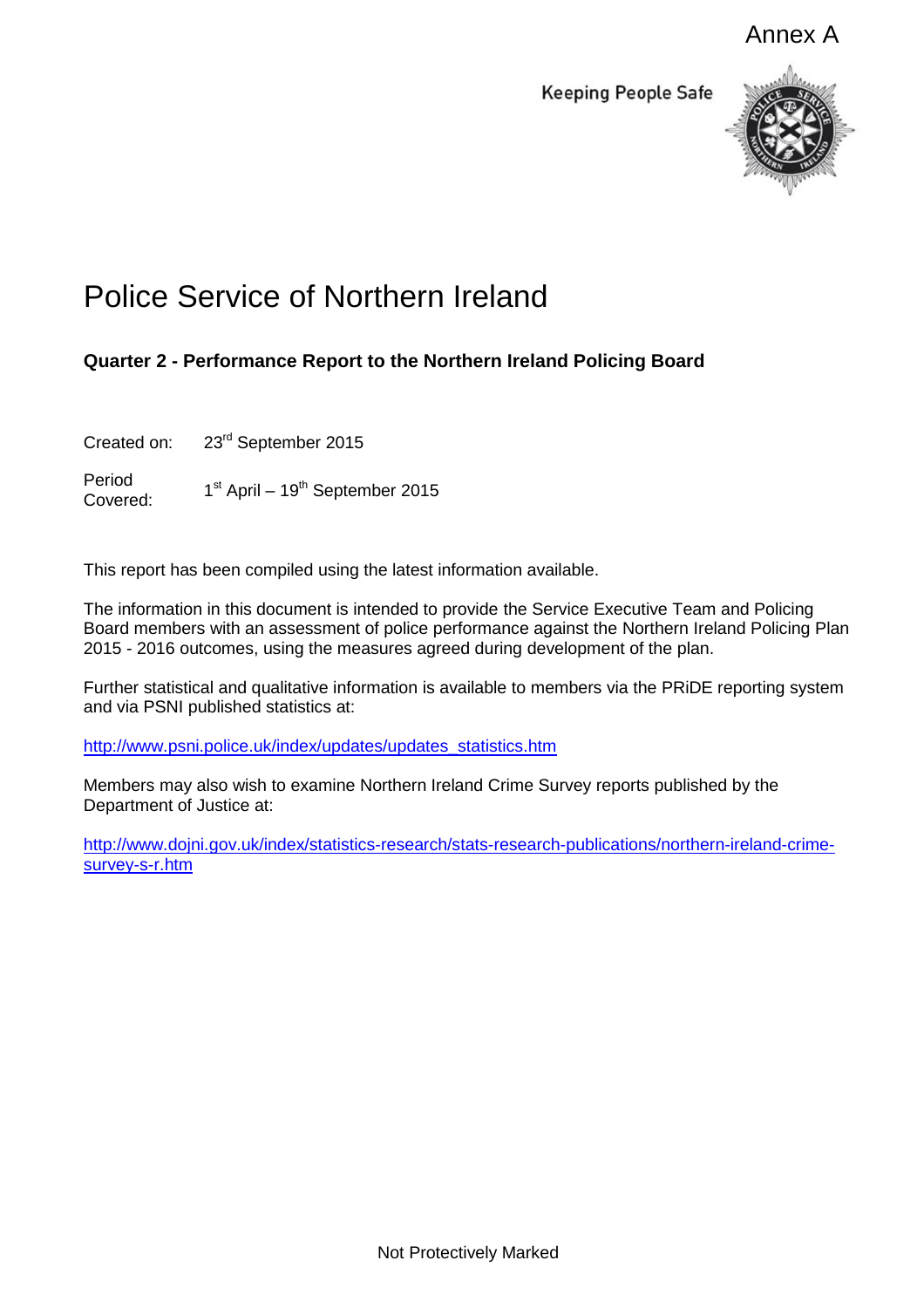Annex A

**Keeping People Safe** 



## Police Service of Northern Ireland

## **Quarter 2 - Performance Report to the Northern Ireland Policing Board**

Created on: 23<sup>rd</sup> September 2015

Period Covered:  $1<sup>st</sup>$  April –  $19<sup>th</sup>$  September 2015

This report has been compiled using the latest information available.

The information in this document is intended to provide the Service Executive Team and Policing Board members with an assessment of police performance against the Northern Ireland Policing Plan 2015 - 2016 outcomes, using the measures agreed during development of the plan.

Further statistical and qualitative information is available to members via the PRiDE reporting system and via PSNI published statistics at:

[http://www.psni.police.uk/index/updates/updates\\_statistics.htm](http://www.psni.police.uk/index/updates/updates_statistics.htm)

Members may also wish to examine Northern Ireland Crime Survey reports published by the Department of Justice at:

[http://www.dojni.gov.uk/index/statistics-research/stats-research-publications/northern-ireland-crime](http://www.dojni.gov.uk/index/statistics-research/stats-research-publications/northern-ireland-crime-survey-s-r.htm)[survey-s-r.htm](http://www.dojni.gov.uk/index/statistics-research/stats-research-publications/northern-ireland-crime-survey-s-r.htm)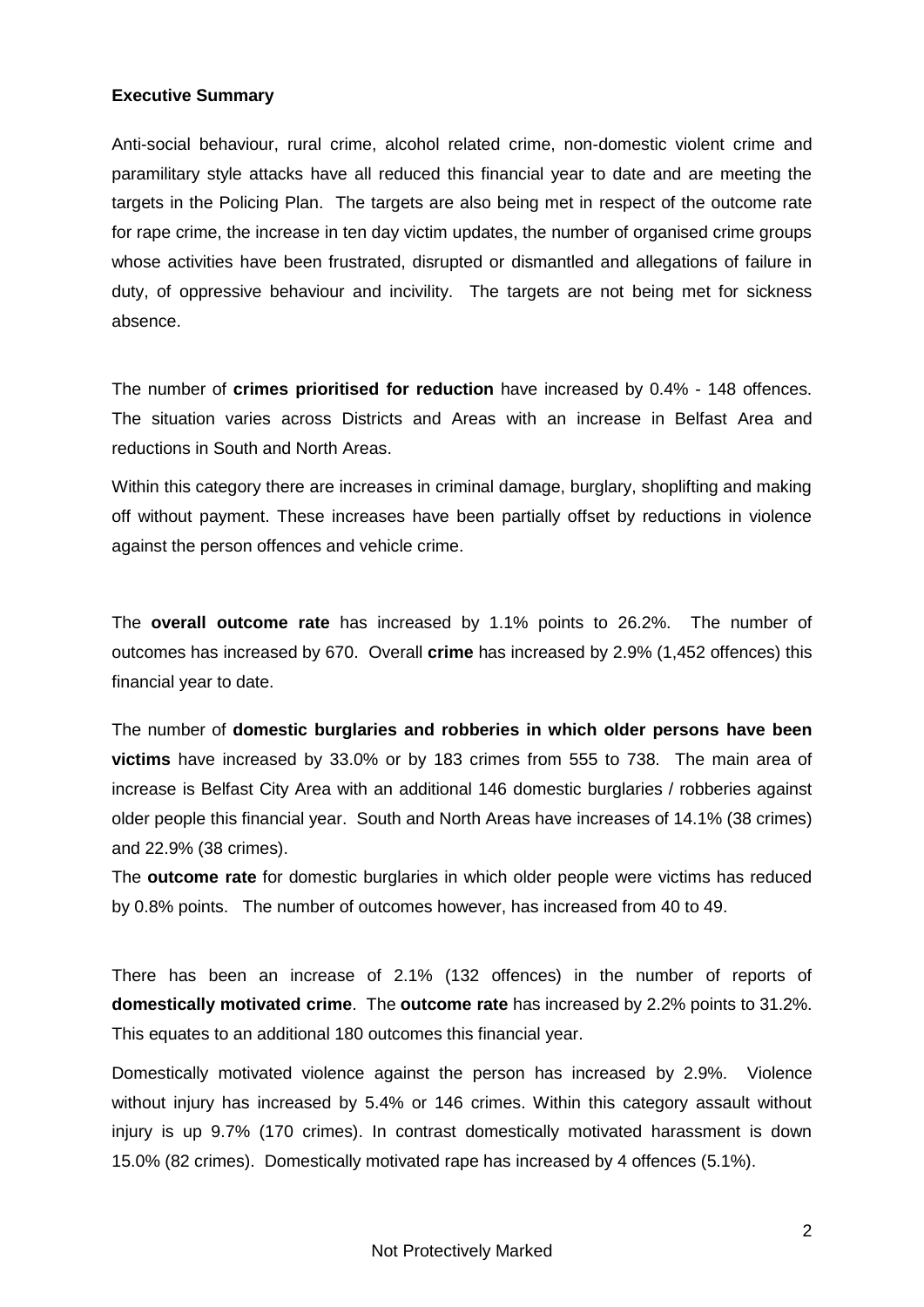## **Executive Summary**

Anti-social behaviour, rural crime, alcohol related crime, non-domestic violent crime and paramilitary style attacks have all reduced this financial year to date and are meeting the targets in the Policing Plan. The targets are also being met in respect of the outcome rate for rape crime, the increase in ten day victim updates, the number of organised crime groups whose activities have been frustrated, disrupted or dismantled and allegations of failure in duty, of oppressive behaviour and incivility. The targets are not being met for sickness absence.

The number of **crimes prioritised for reduction** have increased by 0.4% - 148 offences. The situation varies across Districts and Areas with an increase in Belfast Area and reductions in South and North Areas.

Within this category there are increases in criminal damage, burglary, shoplifting and making off without payment. These increases have been partially offset by reductions in violence against the person offences and vehicle crime.

The **overall outcome rate** has increased by 1.1% points to 26.2%. The number of outcomes has increased by 670. Overall **crime** has increased by 2.9% (1,452 offences) this financial year to date.

The number of **domestic burglaries and robberies in which older persons have been victims** have increased by 33.0% or by 183 crimes from 555 to 738. The main area of increase is Belfast City Area with an additional 146 domestic burglaries / robberies against older people this financial year. South and North Areas have increases of 14.1% (38 crimes) and 22.9% (38 crimes).

The **outcome rate** for domestic burglaries in which older people were victims has reduced by 0.8% points. The number of outcomes however, has increased from 40 to 49.

There has been an increase of 2.1% (132 offences) in the number of reports of **domestically motivated crime**. The **outcome rate** has increased by 2.2% points to 31.2%. This equates to an additional 180 outcomes this financial year.

Domestically motivated violence against the person has increased by 2.9%. Violence without injury has increased by 5.4% or 146 crimes. Within this category assault without injury is up 9.7% (170 crimes). In contrast domestically motivated harassment is down 15.0% (82 crimes). Domestically motivated rape has increased by 4 offences (5.1%).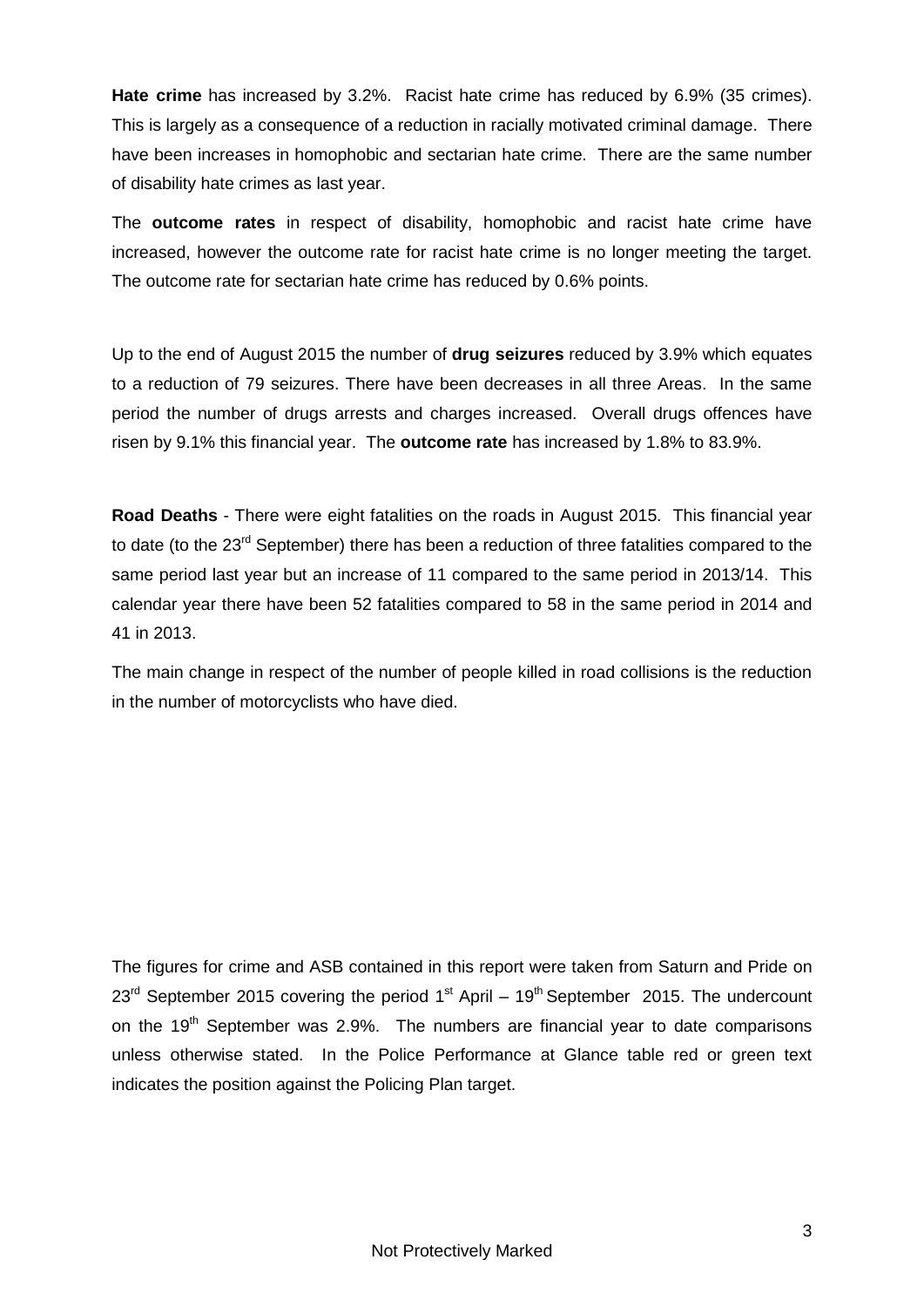**Hate crime** has increased by 3.2%. Racist hate crime has reduced by 6.9% (35 crimes). This is largely as a consequence of a reduction in racially motivated criminal damage. There have been increases in homophobic and sectarian hate crime. There are the same number of disability hate crimes as last year.

The **outcome rates** in respect of disability, homophobic and racist hate crime have increased, however the outcome rate for racist hate crime is no longer meeting the target. The outcome rate for sectarian hate crime has reduced by 0.6% points.

Up to the end of August 2015 the number of **drug seizures** reduced by 3.9% which equates to a reduction of 79 seizures. There have been decreases in all three Areas. In the same period the number of drugs arrests and charges increased. Overall drugs offences have risen by 9.1% this financial year. The **outcome rate** has increased by 1.8% to 83.9%.

**Road Deaths** - There were eight fatalities on the roads in August 2015. This financial year to date (to the 23<sup>rd</sup> September) there has been a reduction of three fatalities compared to the same period last year but an increase of 11 compared to the same period in 2013/14. This calendar year there have been 52 fatalities compared to 58 in the same period in 2014 and 41 in 2013.

The main change in respect of the number of people killed in road collisions is the reduction in the number of motorcyclists who have died.

The figures for crime and ASB contained in this report were taken from Saturn and Pride on  $23<sup>rd</sup>$  September 2015 covering the period 1<sup>st</sup> April – 19<sup>th</sup> September 2015. The undercount on the 19<sup>th</sup> September was 2.9%. The numbers are financial year to date comparisons unless otherwise stated. In the Police Performance at Glance table red or green text indicates the position against the Policing Plan target.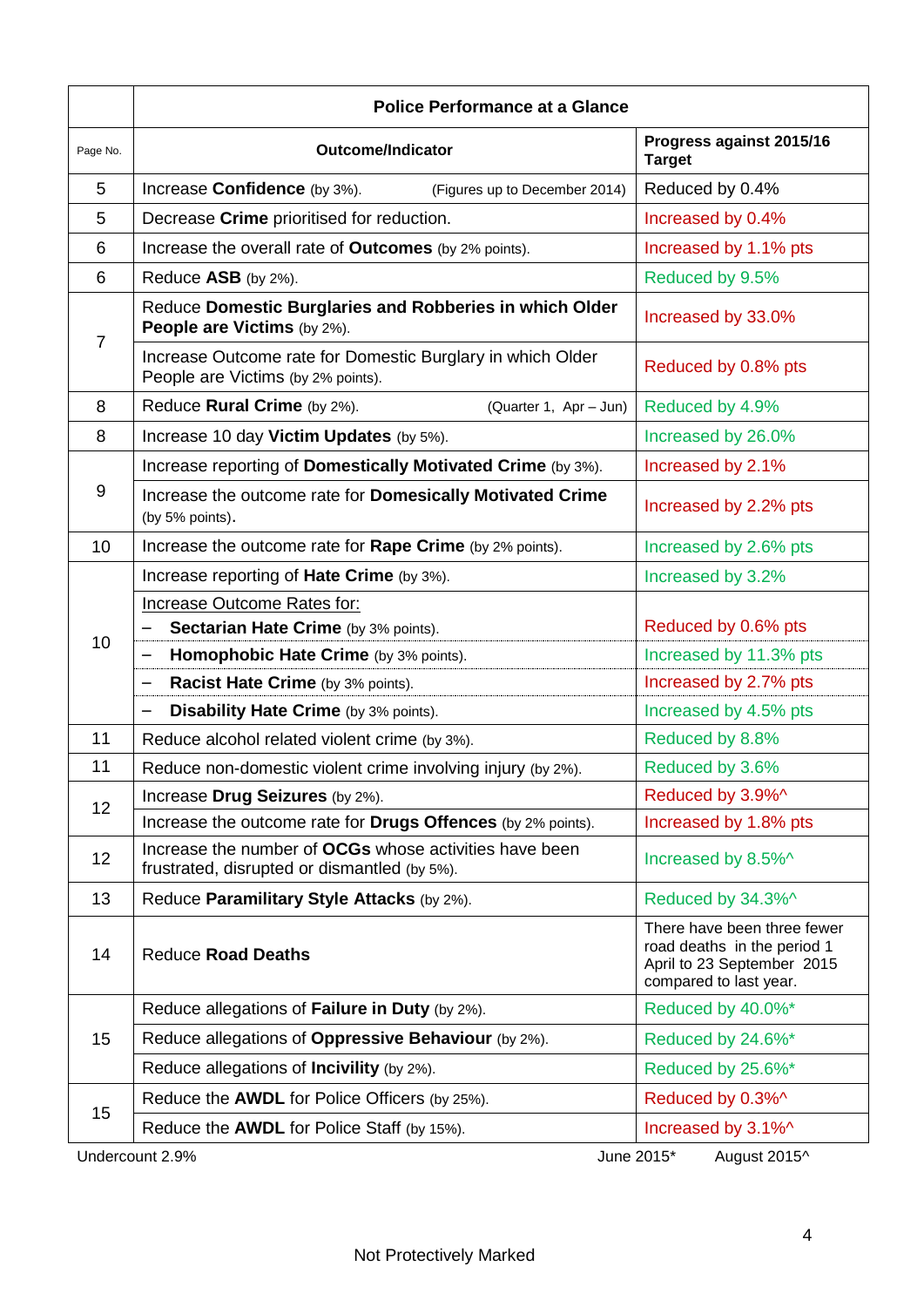|                                               | <b>Police Performance at a Glance</b>                                                                  |                                                                                                                    |  |  |  |  |  |  |  |
|-----------------------------------------------|--------------------------------------------------------------------------------------------------------|--------------------------------------------------------------------------------------------------------------------|--|--|--|--|--|--|--|
| Page No.                                      | <b>Outcome/Indicator</b>                                                                               | Progress against 2015/16<br><b>Target</b>                                                                          |  |  |  |  |  |  |  |
| 5                                             | Increase Confidence (by 3%).<br>(Figures up to December 2014)                                          | Reduced by 0.4%                                                                                                    |  |  |  |  |  |  |  |
| 5                                             | Decrease Crime prioritised for reduction.                                                              | Increased by 0.4%                                                                                                  |  |  |  |  |  |  |  |
| 6                                             | Increase the overall rate of <b>Outcomes</b> (by 2% points).                                           | Increased by 1.1% pts                                                                                              |  |  |  |  |  |  |  |
| 6                                             | Reduce ASB (by 2%).                                                                                    | Reduced by 9.5%                                                                                                    |  |  |  |  |  |  |  |
| $\overline{7}$                                | Reduce Domestic Burglaries and Robberies in which Older<br><b>People are Victims (by 2%).</b>          | Increased by 33.0%                                                                                                 |  |  |  |  |  |  |  |
|                                               | Increase Outcome rate for Domestic Burglary in which Older<br>People are Victims (by 2% points).       | Reduced by 0.8% pts                                                                                                |  |  |  |  |  |  |  |
| 8                                             | Reduce Rural Crime (by 2%).<br>(Quarter 1, Apr - Jun)                                                  | Reduced by 4.9%                                                                                                    |  |  |  |  |  |  |  |
| 8                                             | Increase 10 day Victim Updates (by 5%).                                                                | Increased by 26.0%                                                                                                 |  |  |  |  |  |  |  |
|                                               | Increase reporting of Domestically Motivated Crime (by 3%).                                            | Increased by 2.1%                                                                                                  |  |  |  |  |  |  |  |
| 9                                             | Increase the outcome rate for Domesically Motivated Crime<br>(by 5% points).                           | Increased by 2.2% pts                                                                                              |  |  |  |  |  |  |  |
| 10                                            | Increase the outcome rate for Rape Crime (by 2% points).                                               | Increased by 2.6% pts                                                                                              |  |  |  |  |  |  |  |
|                                               | Increase reporting of Hate Crime (by 3%).                                                              | Increased by 3.2%                                                                                                  |  |  |  |  |  |  |  |
|                                               | Increase Outcome Rates for:                                                                            |                                                                                                                    |  |  |  |  |  |  |  |
| 10                                            | <b>Sectarian Hate Crime</b> (by 3% points).                                                            | Reduced by 0.6% pts                                                                                                |  |  |  |  |  |  |  |
|                                               | Homophobic Hate Crime (by 3% points).                                                                  | Increased by 11.3% pts                                                                                             |  |  |  |  |  |  |  |
|                                               | Racist Hate Crime (by 3% points).                                                                      | Increased by 2.7% pts                                                                                              |  |  |  |  |  |  |  |
|                                               | Disability Hate Crime (by 3% points).                                                                  | Increased by 4.5% pts                                                                                              |  |  |  |  |  |  |  |
| 11                                            | Reduce alcohol related violent crime (by 3%).                                                          | Reduced by 8.8%                                                                                                    |  |  |  |  |  |  |  |
| 11                                            | Reduce non-domestic violent crime involving injury (by 2%).                                            | Reduced by 3.6%                                                                                                    |  |  |  |  |  |  |  |
| 12                                            | Increase Drug Seizures (by 2%).                                                                        | Reduced by 3.9%^                                                                                                   |  |  |  |  |  |  |  |
|                                               | Increase the outcome rate for Drugs Offences (by 2% points).                                           | Increased by 1.8% pts                                                                                              |  |  |  |  |  |  |  |
| 12                                            | Increase the number of OCGs whose activities have been<br>frustrated, disrupted or dismantled (by 5%). | Increased by 8.5%^                                                                                                 |  |  |  |  |  |  |  |
| 13                                            | Reduce Paramilitary Style Attacks (by 2%).                                                             | Reduced by 34.3%^                                                                                                  |  |  |  |  |  |  |  |
| 14                                            | <b>Reduce Road Deaths</b>                                                                              | There have been three fewer<br>road deaths in the period 1<br>April to 23 September 2015<br>compared to last year. |  |  |  |  |  |  |  |
|                                               | Reduce allegations of Failure in Duty (by 2%).                                                         | Reduced by 40.0%*                                                                                                  |  |  |  |  |  |  |  |
| 15                                            | Reduce allegations of Oppressive Behaviour (by 2%).                                                    | Reduced by 24.6%*                                                                                                  |  |  |  |  |  |  |  |
|                                               | Reduce allegations of <b>Incivility</b> (by 2%).                                                       | Reduced by 25.6%*                                                                                                  |  |  |  |  |  |  |  |
| 15                                            | Reduce the AWDL for Police Officers (by 25%).                                                          | Reduced by 0.3%^                                                                                                   |  |  |  |  |  |  |  |
|                                               | Reduce the AWDL for Police Staff (by 15%).                                                             | Increased by 3.1%^                                                                                                 |  |  |  |  |  |  |  |
| Undercount 2.9%<br>June 2015*<br>August 2015^ |                                                                                                        |                                                                                                                    |  |  |  |  |  |  |  |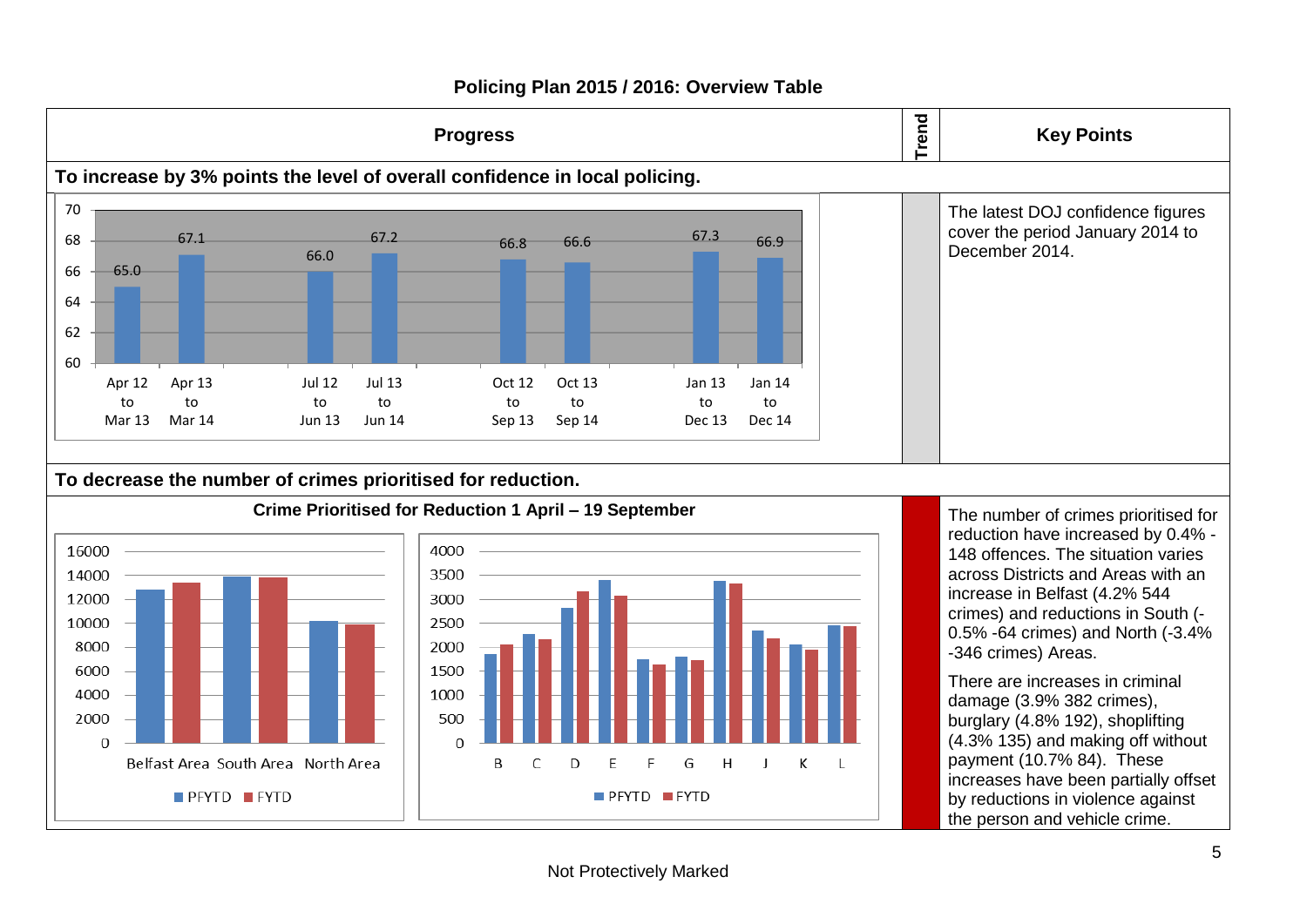

## **Policing Plan 2015 / 2016: Overview Table**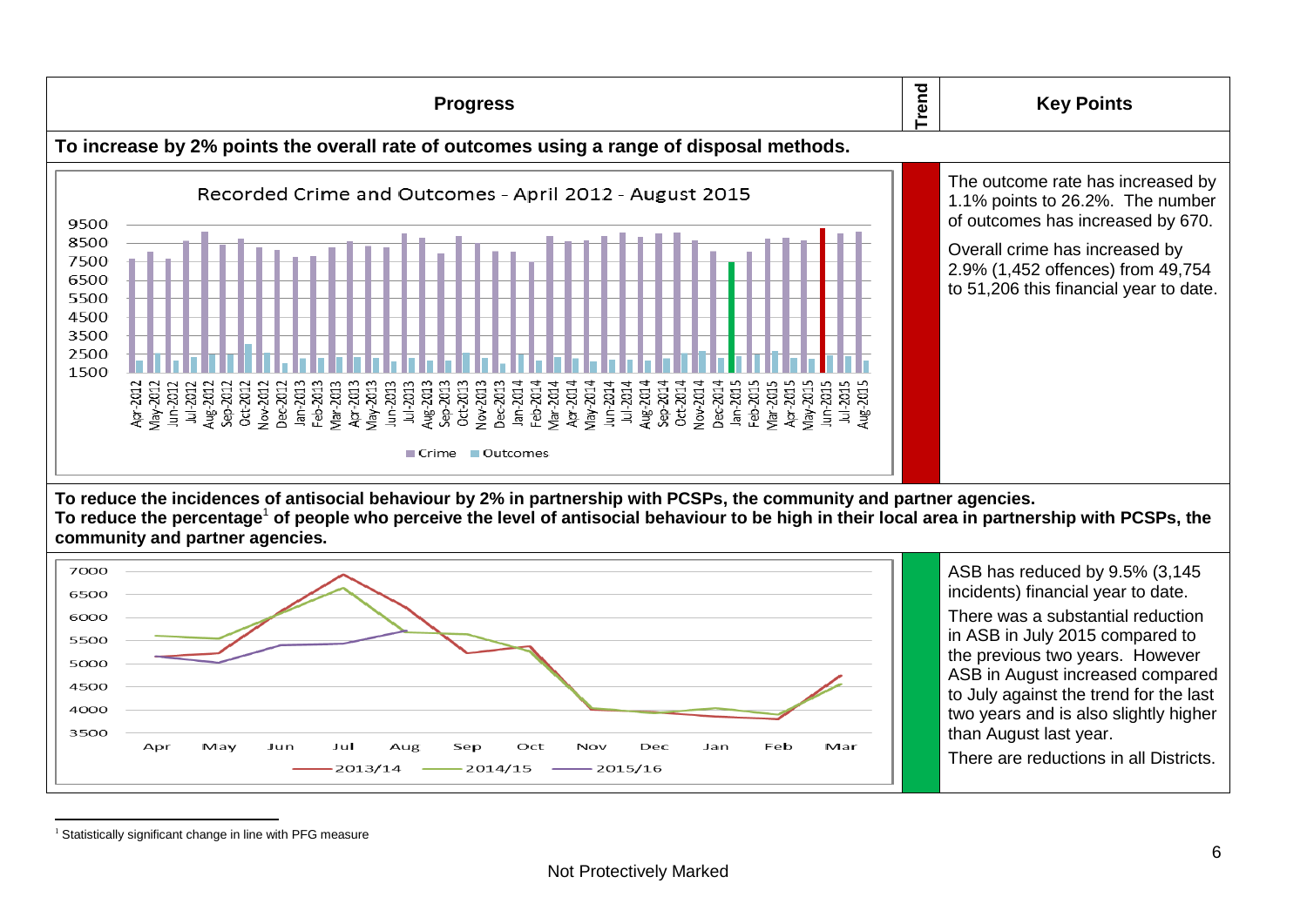

 $<sup>1</sup>$  Statistically significant change in line with PFG measure</sup>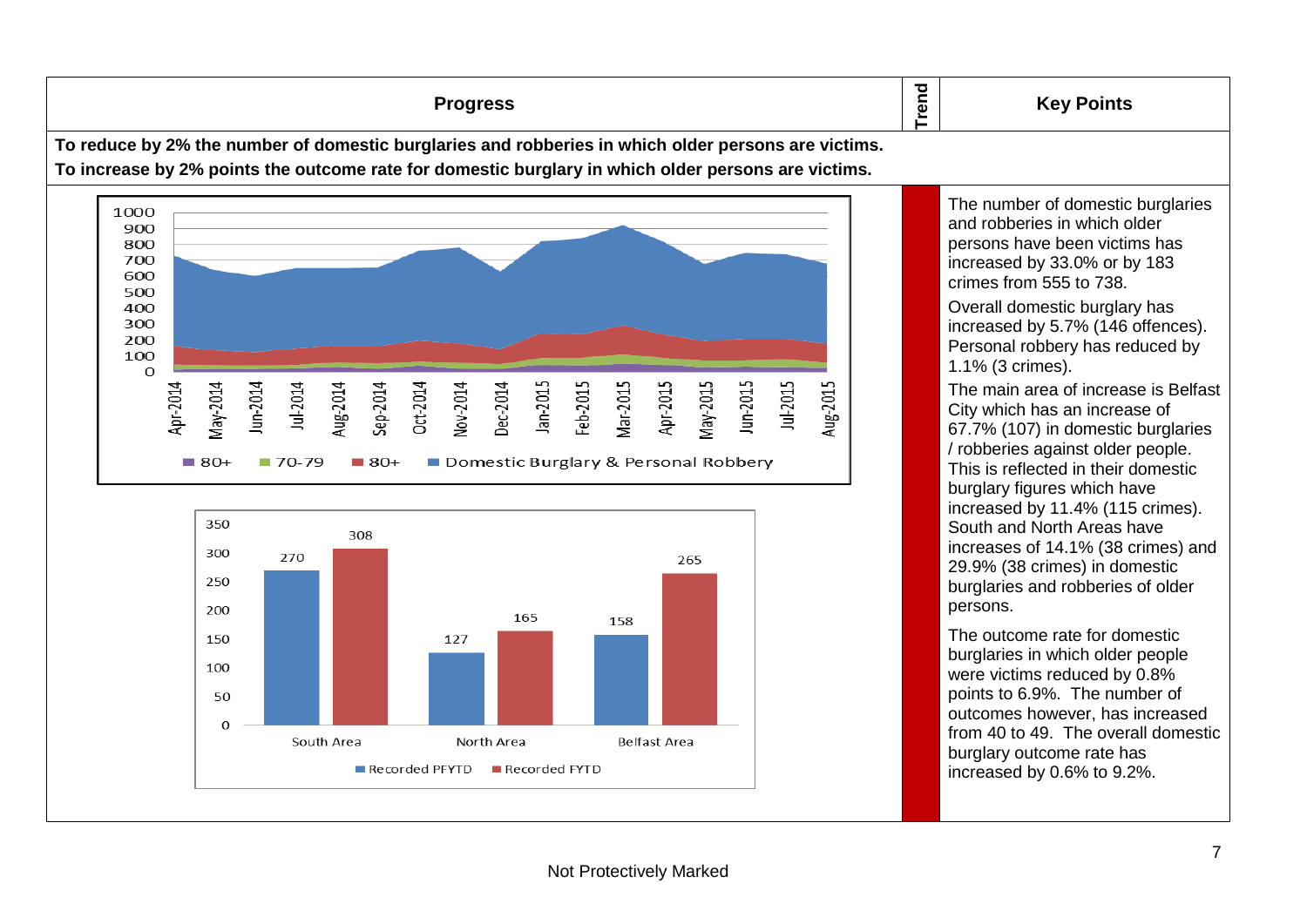**Trend Progress Key Points To reduce by 2% the number of domestic burglaries and robberies in which older persons are victims. To increase by 2% points the outcome rate for domestic burglary in which older persons are victims.** The number of domestic burglaries 1000 900 800 700 600 crimes from 555 to 738. 500  $400$ 300 200 100 1.1% (3 crimes).  $\Omega$ Jan-2015 Feb-2015 Apr-2015 May-2015 Jun-2015 Jul-2015 Aug-2015 Jun-2014 Mar-2015 Apr-2014 May-2014 Jul-2014 Sep-2014 Oct-2014 Nov-2014 Dec-2014 Aug-2014

Domestic Burglary & Personal Robbery



 $-80+$ 

 $-70-79$ 

 $\blacksquare$  80+

and robberies in which older persons have been victims has increased by 33.0% or by 183 Overall domestic burglary has

increased by 5.7% (146 offences). Personal robbery has reduced by

The main area of increase is Belfast City which has an increase of 67.7% (107) in domestic burglaries / robberies against older people. This is reflected in their domestic burglary figures which have increased by 11.4% (115 crimes). South and North Areas have increases of 14.1% (38 crimes) and 29.9% (38 crimes) in domestic burglaries and robberies of older persons.

The outcome rate for domestic burglaries in which older people were victims reduced by 0.8% points to 6.9%. The number of outcomes however, has increased from 40 to 49. The overall domestic burglary outcome rate has increased by 0.6% to 9.2%.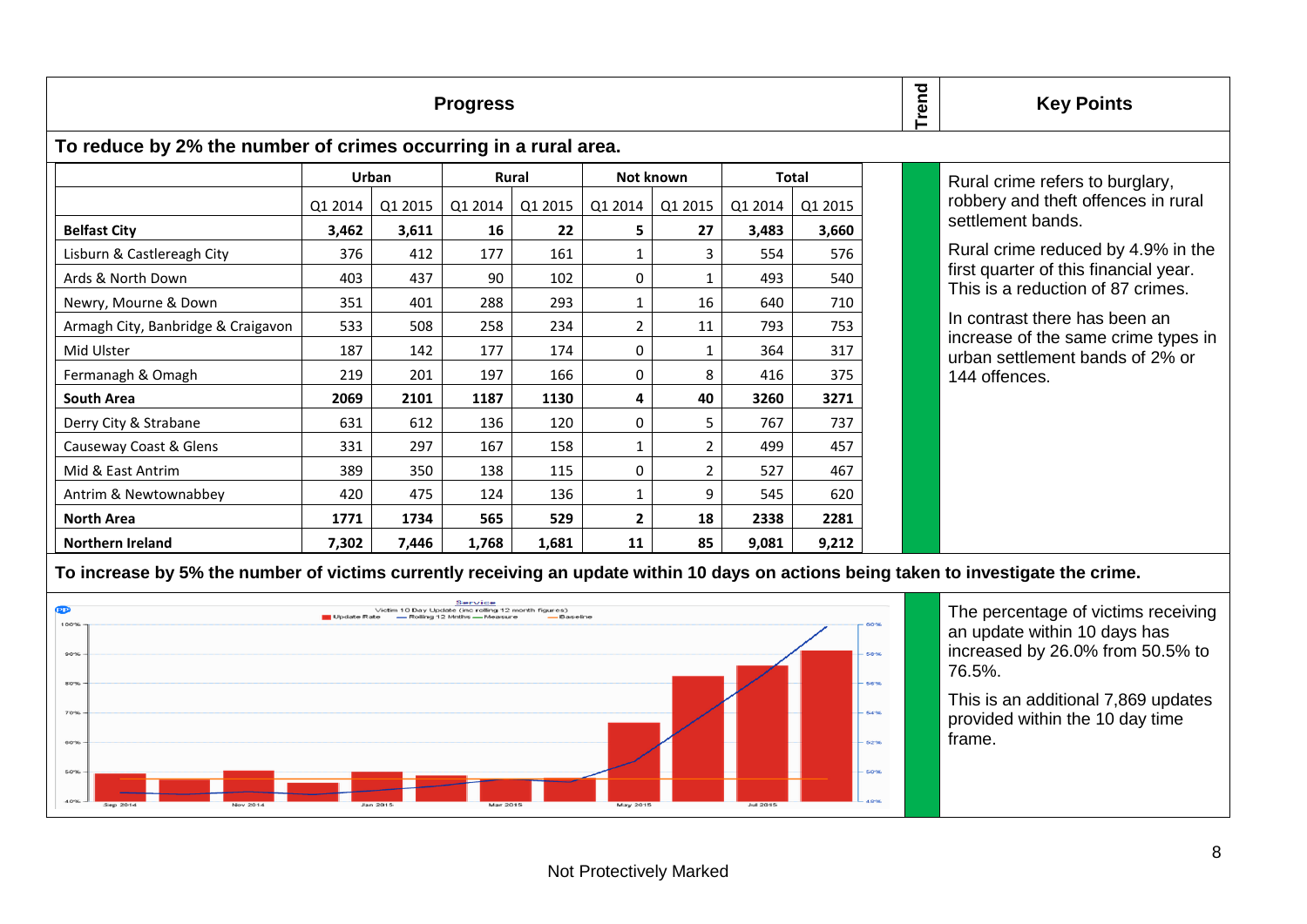|                                                                 | rend    | <b>Key Points</b> |              |         |              |                |              |         |  |                                                                            |
|-----------------------------------------------------------------|---------|-------------------|--------------|---------|--------------|----------------|--------------|---------|--|----------------------------------------------------------------------------|
| To reduce by 2% the number of crimes occurring in a rural area. |         |                   |              |         |              |                |              |         |  |                                                                            |
|                                                                 | Urban   |                   | <b>Rural</b> |         | Not known    |                | <b>Total</b> |         |  | Rural crime refers to burglary,                                            |
|                                                                 | Q1 2014 | Q1 2015           | Q1 2014      | Q1 2015 | Q1 2014      | Q1 2015        | Q1 2014      | Q1 2015 |  | robbery and theft offences in rural                                        |
| <b>Belfast City</b>                                             | 3,462   | 3,611             | 16           | 22      | 5.           | 27             | 3,483        | 3,660   |  | settlement bands.                                                          |
| Lisburn & Castlereagh City                                      | 376     | 412               | 177          | 161     | -1           | $\overline{3}$ | 554          | 576     |  | Rural crime reduced by 4.9% in the                                         |
| Ards & North Down                                               | 403     | 437               | 90           | 102     | 0            | 1              | 493          | 540     |  | first quarter of this financial year.<br>This is a reduction of 87 crimes. |
| Newry, Mourne & Down                                            | 351     | 401               | 288          | 293     | 1            | 16             | 640          | 710     |  |                                                                            |
| Armagh City, Banbridge & Craigavon                              | 533     | 508               | 258          | 234     | 2            | 11             | 793          | 753     |  | In contrast there has been an                                              |
| Mid Ulster                                                      | 187     | 142               | 177          | 174     | 0            |                | 364          | 317     |  | increase of the same crime types in<br>urban settlement bands of 2% or     |
| Fermanagh & Omagh                                               | 219     | 201               | 197          | 166     | 0            | 8              | 416          | 375     |  | 144 offences.                                                              |
| South Area                                                      | 2069    | 2101              | 1187         | 1130    | 4            | 40             | 3260         | 3271    |  |                                                                            |
| Derry City & Strabane                                           | 631     | 612               | 136          | 120     | $\Omega$     | 5.             | 767          | 737     |  |                                                                            |
| Causeway Coast & Glens                                          | 331     | 297               | 167          | 158     |              | $\overline{2}$ | 499          | 457     |  |                                                                            |
| Mid & East Antrim                                               | 389     | 350               | 138          | 115     | $\Omega$     | $\overline{2}$ | 527          | 467     |  |                                                                            |
| Antrim & Newtownabbey                                           | 420     | 475               | 124          | 136     | 1            | 9              | 545          | 620     |  |                                                                            |
| <b>North Area</b>                                               | 1771    | 1734              | 565          | 529     | $\mathbf{2}$ | 18             | 2338         | 2281    |  |                                                                            |
| <b>Northern Ireland</b>                                         | 7,302   | 7,446             | 1,768        | 1,681   | 11           | 85             | 9,081        | 9,212   |  |                                                                            |

**To increase by 5% the number of victims currently receiving an update within 10 days on actions being taken to investigate the crime.**



The percentage of victims receiving an update within 10 days has increased by 26.0% from 50.5% to 76.5%.

This is an additional 7,869 updates provided within the 10 day time frame.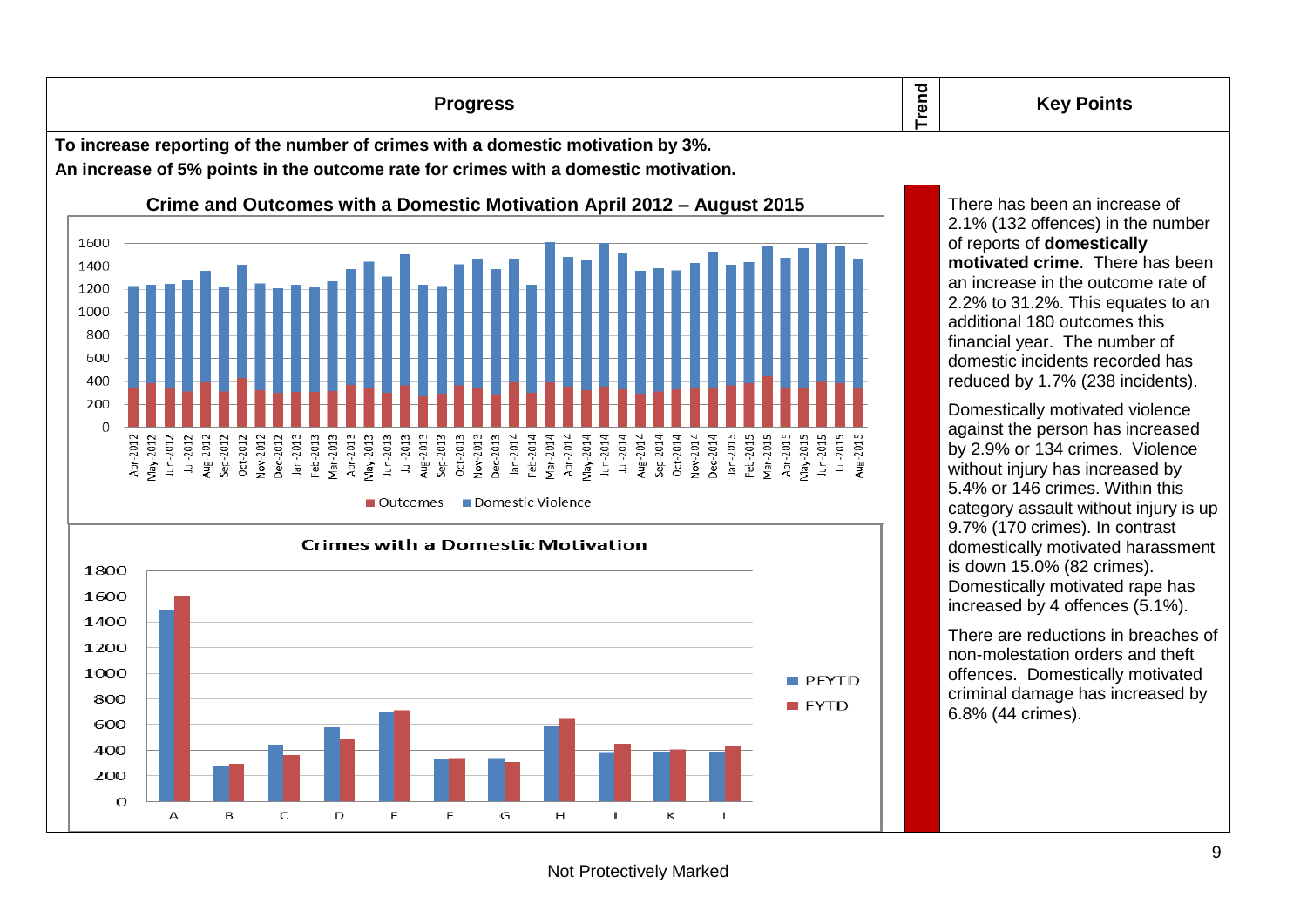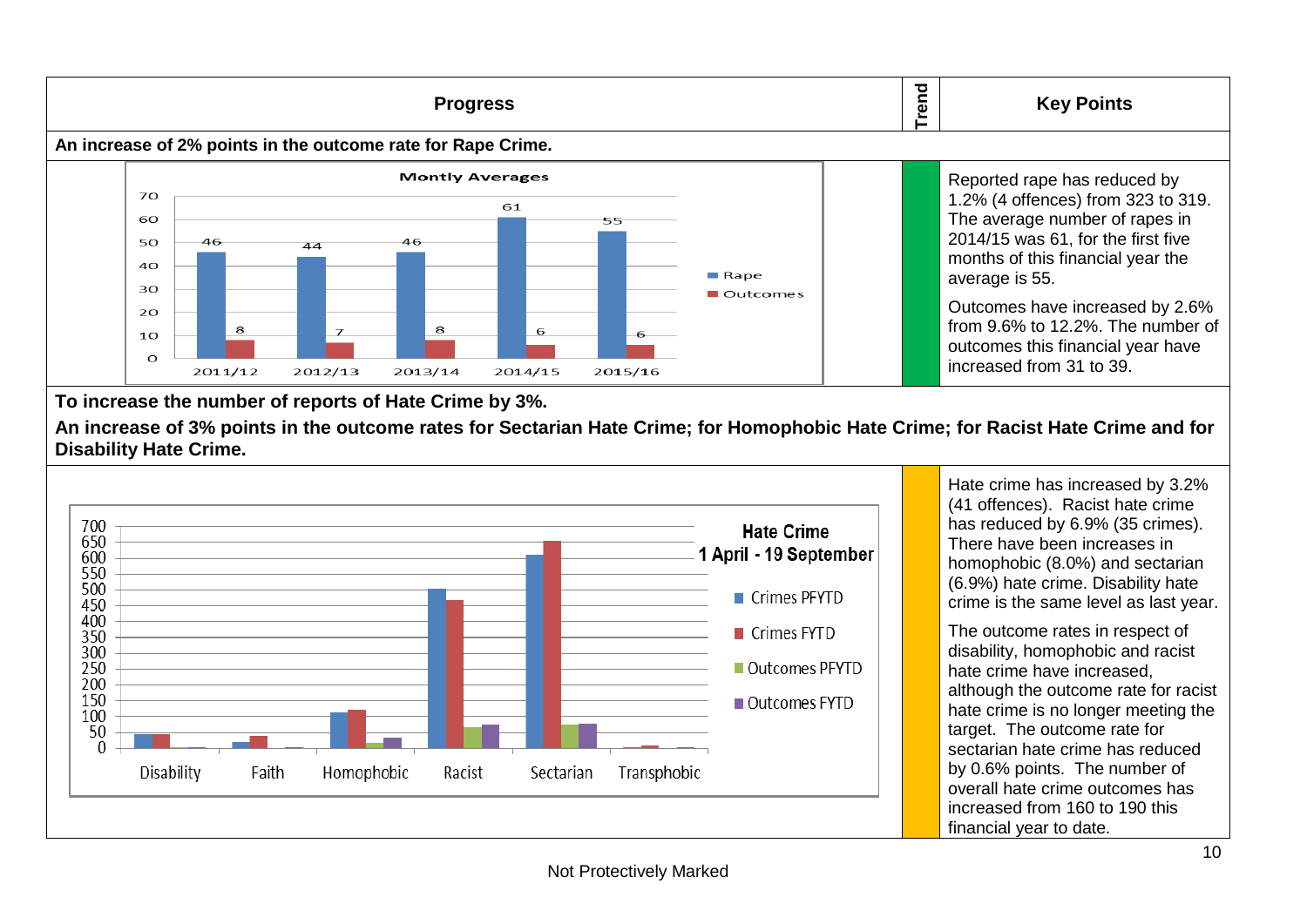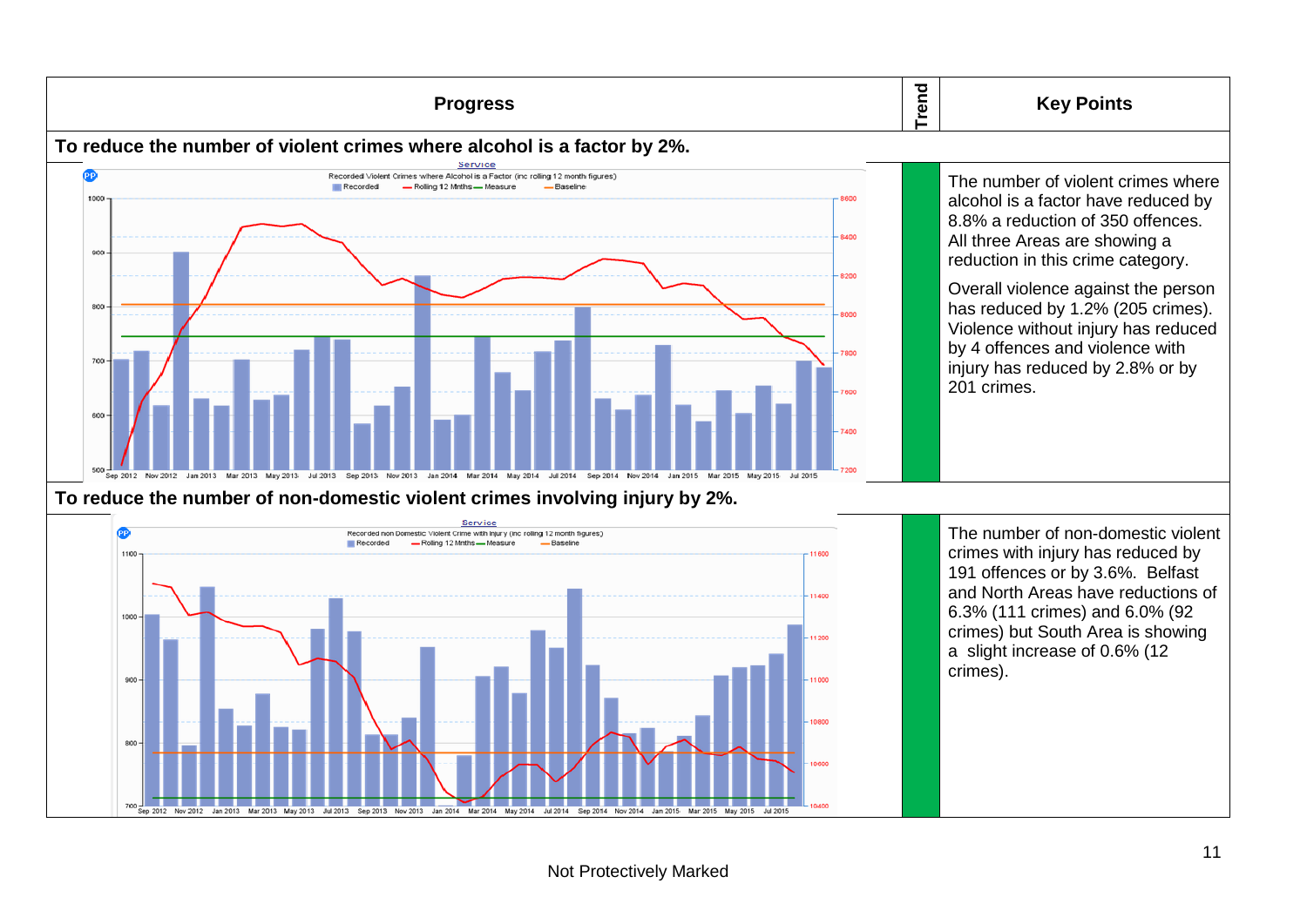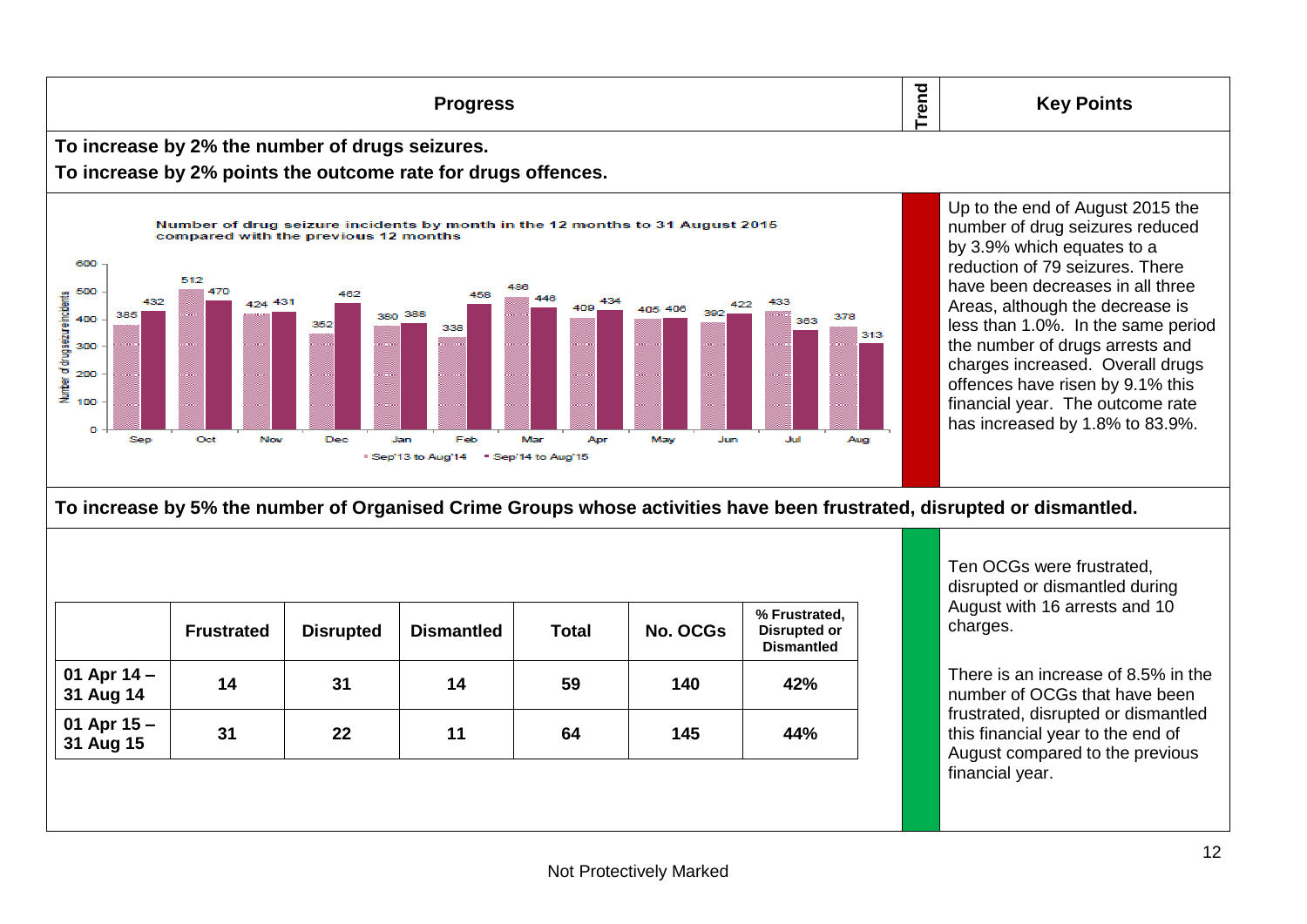**Trend Progress Key Points To increase by 2% the number of drugs seizures. To increase by 2% points the outcome rate for drugs offences.** Up to the end of August 2015 the Number of drug seizure incidents by month in the 12 months to 31 August 2015 number of drug seizures reduced compared with the previous 12 months by 3.9% which equates to a 600 reduction of 79 seizures. There 512 have been decreases in all three 500 470 482 Number of drugseizure incidents 458 424 431 432 434 433 Areas, although the decrease is 422 409 405 406 380 388 392 385 378 400 363 less than 1.0%. In the same period 352 338 313 the number of drugs arrests and 300 charges increased. Overall drugs 200 offences have risen by 9.1% this financial year. The outcome rate 100 has increased by 1.8% to 83.9%.  $\Omega$ Nov Dec May Jul Sep Oct Jan Feb Mar Apr Jun Aug <sup>8</sup> Sep'13 to Aug'14 \* Sep'14 to Aug'15

**To increase by 5% the number of Organised Crime Groups whose activities have been frustrated, disrupted or dismantled.**

|                            | <b>Frustrated</b> | <b>Disrupted</b> | <b>Dismantled</b> | <b>Total</b> | <b>No. OCGs</b> | % Frustrated,<br><b>Disrupted or</b><br><b>Dismantled</b> |  |
|----------------------------|-------------------|------------------|-------------------|--------------|-----------------|-----------------------------------------------------------|--|
| 01 Apr $14 -$<br>31 Aug 14 | 14                | 31               | 14                | 59           | 140             | 42%                                                       |  |
| 01 Apr $15 -$<br>31 Aug 15 | 31                | 22               | 11                | 64           | 145             | 44%                                                       |  |

Ten OCGs were frustrated, disrupted or dismantled during August with 16 arrests and 10 charges.

There is an increase of 8.5% in the number of OCGs that have been frustrated, disrupted or dismantled this financial year to the end of August compared to the previous financial year.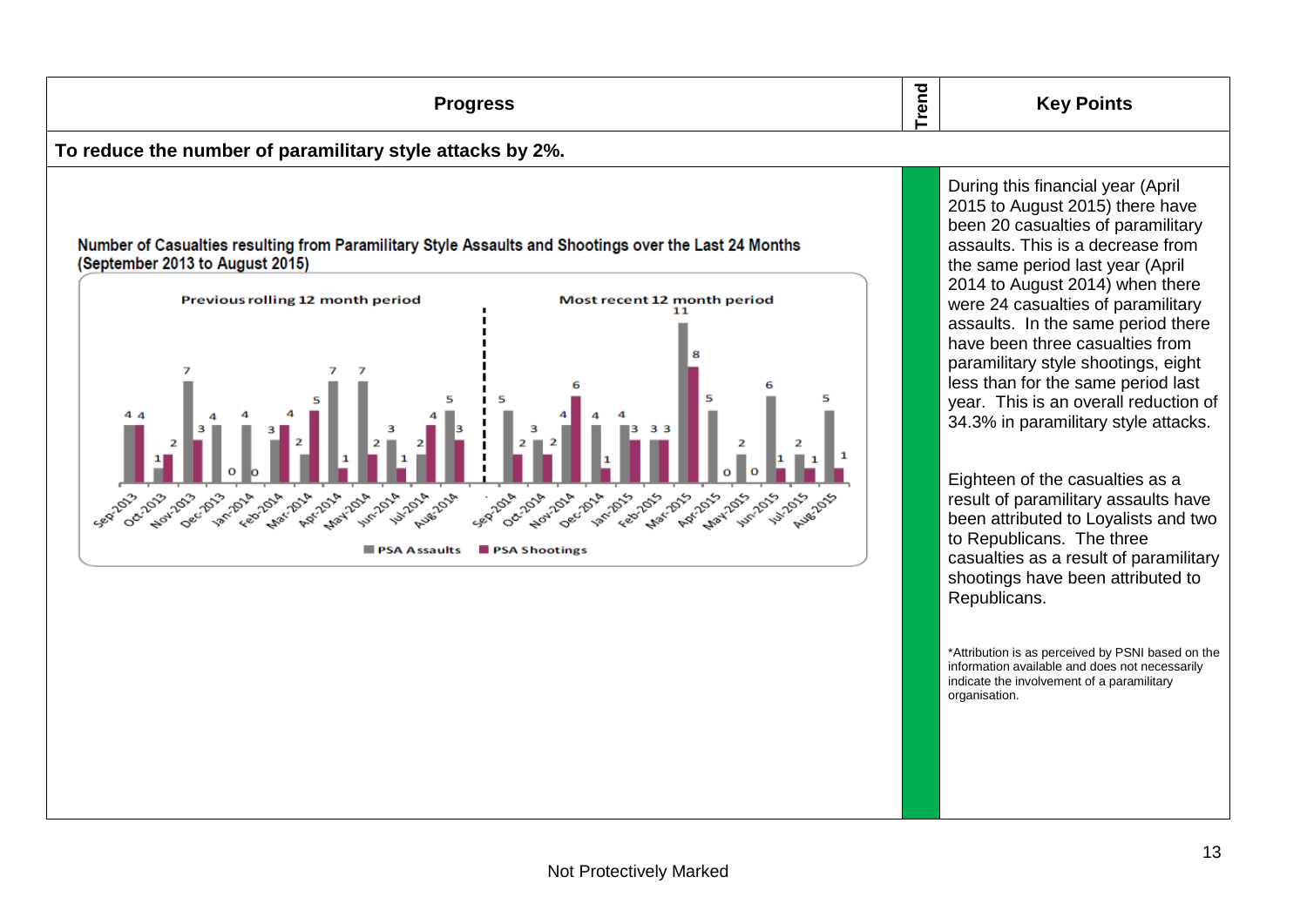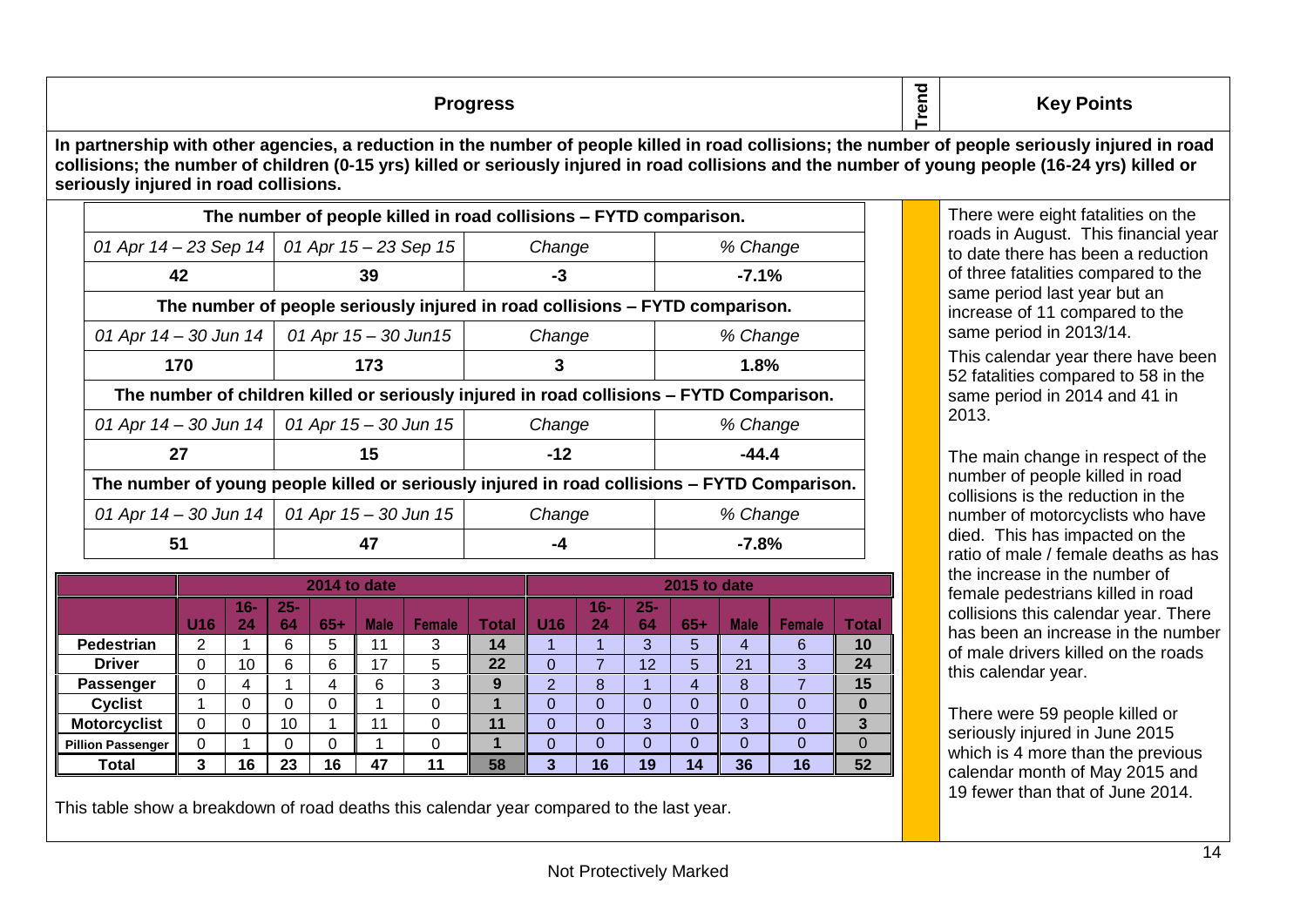**Progress**

There were eight fatalities on the roads in August. This financial year to date there has been a reduction of three fatalities compared to the same period last year but an increase of 11 compared to the same period in 2013/14.

**Key Points**

**Trend**

This calendar year there have been 52 fatalities compared to 58 in the same period in 2014 and 41 in 2013.

The main change in respect of the number of people killed in road collisions is the reduction in the number of motorcyclists who have died. This has impacted on the ratio of male / female deaths as has the increase in the number of female pedestrians killed in road collisions this calendar year. There has been an increase in the number of male drivers killed on the roads this calendar year.

There were 59 people killed or seriously injured in June 2015 which is 4 more than the previous calendar month of May 2015 and 19 fewer than that of June 2014.

**In partnership with other agencies, a reduction in the number of people killed in road collisions; the number of people seriously injured in road collisions; the number of children (0-15 yrs) killed or seriously injured in road collisions and the number of young people (16-24 yrs) killed or seriously injured in road collisions.**

| The number of people killed in road collisions – FYTD comparison.                        |                                               |        |                                                                                              |  |  |  |  |  |  |
|------------------------------------------------------------------------------------------|-----------------------------------------------|--------|----------------------------------------------------------------------------------------------|--|--|--|--|--|--|
| 01 Apr 14 – 23 Sep 14   01 Apr 15 – 23 Sep 15  <br>% Change<br>Change                    |                                               |        |                                                                                              |  |  |  |  |  |  |
| 42                                                                                       | 39                                            | -3     | $-7.1%$                                                                                      |  |  |  |  |  |  |
| The number of people seriously injured in road collisions - FYTD comparison.             |                                               |        |                                                                                              |  |  |  |  |  |  |
| 01 Apr $14 - 30$ Jun $14$                                                                | 01 Apr 15 – 30 Jun15                          | Change | % Change                                                                                     |  |  |  |  |  |  |
| 170                                                                                      | 173                                           | 3      | 1.8%                                                                                         |  |  |  |  |  |  |
| The number of children killed or seriously injured in road collisions - FYTD Comparison. |                                               |        |                                                                                              |  |  |  |  |  |  |
| 01 Apr 14 – 30 Jun 14   01 Apr 15 – 30 Jun 15<br>Change<br>% Change                      |                                               |        |                                                                                              |  |  |  |  |  |  |
| 27                                                                                       | 15                                            | $-12$  | $-44.4$                                                                                      |  |  |  |  |  |  |
|                                                                                          |                                               |        | The number of young people killed or seriously injured in road collisions – FYTD Comparison. |  |  |  |  |  |  |
|                                                                                          | 01 Apr 14 – 30 Jun 14   01 Apr 15 – 30 Jun 15 | Change | % Change                                                                                     |  |  |  |  |  |  |
| 51                                                                                       | 47                                            | -4     | $-7.8\%$                                                                                     |  |  |  |  |  |  |
|                                                                                          |                                               |        |                                                                                              |  |  |  |  |  |  |

|                          |          | 2014 to date |              |       |             |        |       |                 |              | 2015 to date |       |             |               |                         |  |
|--------------------------|----------|--------------|--------------|-------|-------------|--------|-------|-----------------|--------------|--------------|-------|-------------|---------------|-------------------------|--|
|                          | U16      | $16 -$<br>24 | $25 -$<br>64 | $65+$ | <b>Male</b> | Female | Total | U <sub>16</sub> | $16 -$<br>24 | $25 -$<br>64 | $65+$ | <b>Male</b> | <b>Female</b> | <b>Total</b>            |  |
| <b>Pedestrian</b>        | ົ        |              | 6            | 5     | 11          | 3      | 14    |                 |              | 3            | 5     | 4           | 6             | 10                      |  |
| <b>Driver</b>            |          | 10           | 6            | 6     | 17          | 5      | 22    | 0               |              | 12           | 5     | 21          | 3             | 24                      |  |
| Passenger                | $\Omega$ | 4            |              | 4     | 6           | 3      | 9     | $\overline{2}$  | 8            |              | 4     | 8           |               | 15                      |  |
| <b>Cyclist</b>           |          | 0            | 0            | 0     |             | 0      |       | $\Omega$        | 0            |              | 0     | 0           | 0             | $\bf{0}$                |  |
| <b>Motorcyclist</b>      | $\Omega$ | $\Omega$     | 10           |       | 11          | 0      | 11    | $\Omega$        | 0            | 3            | 0     | 3           | 0             | $\overline{\mathbf{3}}$ |  |
| <b>Pillion Passenger</b> | $\Omega$ |              | 0            | 0     |             | 0      |       | 0               | 0            |              | 0     | 0           | 0             | $\mathbf 0$             |  |
| <b>Total</b>             |          | 16           | 23           | 16    | 47          | 11     | 58    | 3               | 16           | 19           | 14    | 36          | 16            | 52                      |  |

This table show a breakdown of road deaths this calendar year compared to the last year.